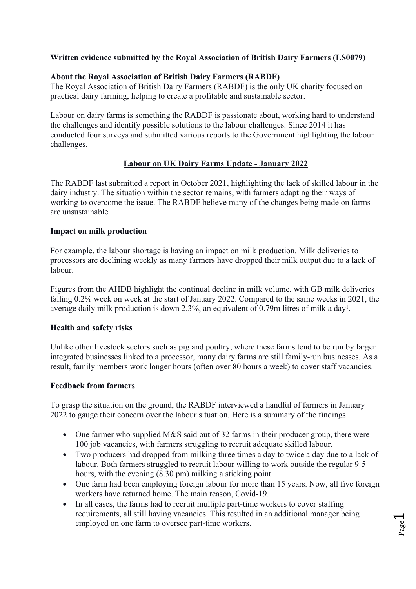# **Written evidence submitted by the Royal Association of British Dairy Farmers (LS0079)**

### **About the Royal Association of British Dairy Farmers (RABDF)**

The Royal Association of British Dairy Farmers (RABDF) is the only UK charity focused on practical dairy farming, helping to create a profitable and sustainable sector.

Labour on dairy farms is something the RABDF is passionate about, working hard to understand the challenges and identify possible solutions to the labour challenges. Since 2014 it has conducted four surveys and submitted various reports to the Government highlighting the labour challenges.

### **Labour on UK Dairy Farms Update - January 2022**

The RABDF last submitted a report in October 2021, highlighting the lack of skilled labour in the dairy industry. The situation within the sector remains, with farmers adapting their ways of working to overcome the issue. The RABDF believe many of the changes being made on farms are unsustainable.

#### **Impact on milk production**

For example, the labour shortage is having an impact on milk production. Milk deliveries to processors are declining weekly as many farmers have dropped their milk output due to a lack of labour.

Figures from the AHDB highlight the continual decline in milk volume, with GB milk deliveries falling 0.2% week on week at the start of January 2022. Compared to the same weeks in 2021, the average daily milk production is down 2.3%, an equivalent of 0.79m litres of milk a day<sup>1</sup>.

### **Health and safety risks**

Unlike other livestock sectors such as pig and poultry, where these farms tend to be run by larger integrated businesses linked to a processor, many dairy farms are still family-run businesses. As a result, family members work longer hours (often over 80 hours a week) to cover staff vacancies.

### **Feedback from farmers**

To grasp the situation on the ground, the RABDF interviewed a handful of farmers in January 2022 to gauge their concern over the labour situation. Here is a summary of the findings.

- One farmer who supplied M&S said out of 32 farms in their producer group, there were 100 job vacancies, with farmers struggling to recruit adequate skilled labour.
- Two producers had dropped from milking three times a day to twice a day due to a lack of labour. Both farmers struggled to recruit labour willing to work outside the regular 9-5 hours, with the evening (8.30 pm) milking a sticking point.
- One farm had been employing foreign labour for more than 15 years. Now, all five foreign workers have returned home. The main reason, Covid-19.

Page  $\overline{\phantom{0}}$ 

• In all cases, the farms had to recruit multiple part-time workers to cover staffing requirements, all still having vacancies. This resulted in an additional manager being employed on one farm to oversee part-time workers.